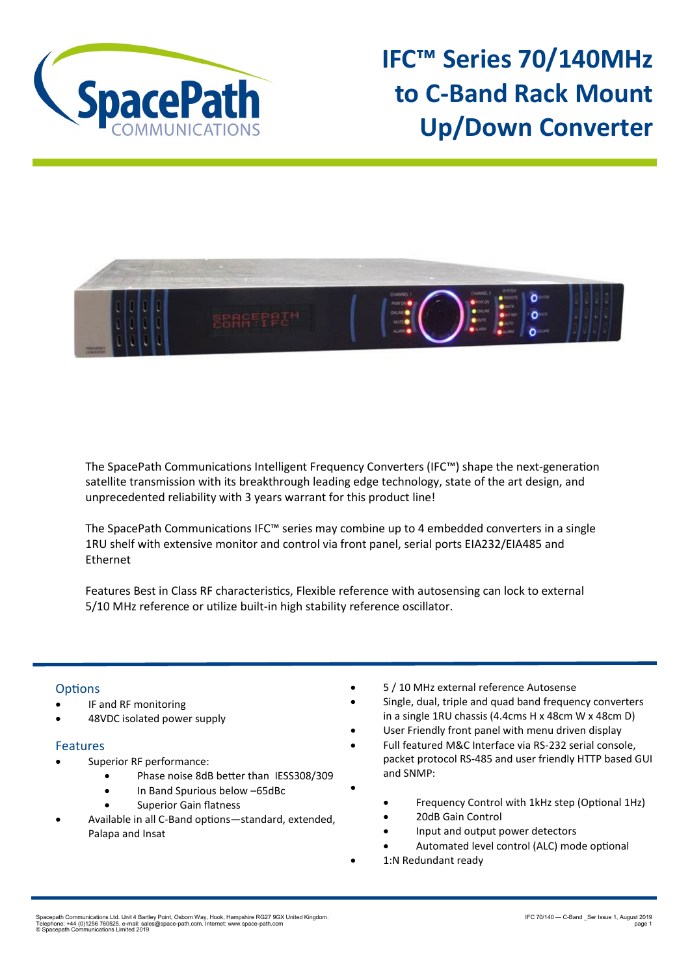

**IFC™ Series 70/140MHz to C-Band Rack Mount Up/Down Converter**



The SpacePath Communications Intelligent Frequency Converters (IFC™) shape the next-generation satellite transmission with its breakthrough leading edge technology, state of the art design, and unprecedented reliability with 3 years warrant for this product line!

The SpacePath Communications IFC™ series may combine up to 4 embedded converters in a single 1RU shelf with extensive monitor and control via front panel, serial ports EIA232/EIA485 and Ethernet

Features Best in Class RF characteristics, Flexible reference with autosensing can lock to external 5/10 MHz reference or utilize built-in high stability reference oscillator.

•

## **Options**

- IF and RF monitoring
- 48VDC isolated power supply

## Features

- Superior RF performance:
	- Phase noise 8dB better than IESS308/309
	- In Band Spurious below –65dBc
	- Superior Gain flatness
- Available in all C-Band options—standard, extended, Palapa and Insat
- 5 / 10 MHz external reference Autosense
- Single, dual, triple and quad band frequency converters in a single 1RU chassis (4.4cms H x 48cm W x 48cm D)
- User Friendly front panel with menu driven display
- Full featured M&C Interface via RS-232 serial console, packet protocol RS-485 and user friendly HTTP based GUI and SNMP:
	- Frequency Control with 1kHz step (Optional 1Hz)
	- 20dB Gain Control
	- Input and output power detectors
	- Automated level control (ALC) mode optional
	- 1:N Redundant ready

Spacepath Communications Ltd. Unit 4 Bartley Point, Osborn Way, Hook, Hampshire RG27 9GX United Kingdom.<br>Telephone: +44 (0)1256 760525. e-mail: sales@space-path.com. Internet: www.space-path.com<br>© Spacepath Communications